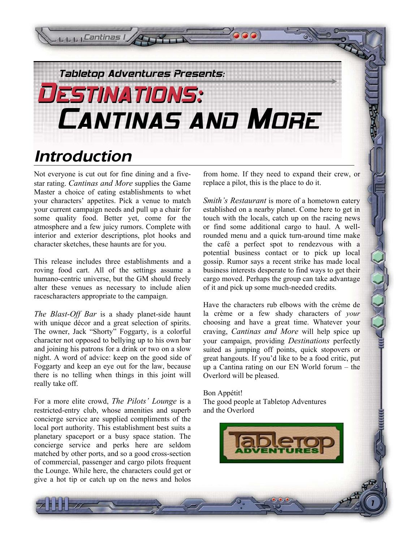

# *Introduction*

**Cantinas I** 

Not everyone is cut out for fine dining and a fivestar rating. *Cantinas and More* supplies the Game Master a choice of eating establishments to whet your characters' appetites. Pick a venue to match your current campaign needs and pull up a chair for some quality food. Better yet, come for the atmosphere and a few juicy rumors. Complete with interior and exterior descriptions, plot hooks and character sketches, these haunts are for you.

This release includes three establishments and a roving food cart. All of the settings assume a humano-centric universe, but the GM should freely alter these venues as necessary to include alien racescharacters appropriate to the campaign.

*The Blast-Off Bar* is a shady planet-side haunt with unique décor and a great selection of spirits. The owner, Jack "Shorty" Foggarty, is a colorful character not opposed to bellying up to his own bar and joining his patrons for a drink or two on a slow night. A word of advice: keep on the good side of Foggarty and keep an eye out for the law, because there is no telling when things in this joint will really take off.

For a more elite crowd, *The Pilots' Lounge* is a restricted-entry club, whose amenities and superb concierge service are supplied compliments of the local port authority. This establishment best suits a planetary spaceport or a busy space station. The concierge service and perks here are seldom matched by other ports, and so a good cross-section of commercial, passenger and cargo pilots frequent the Lounge. While here, the characters could get or give a hot tip or catch up on the news and holos

from home. If they need to expand their crew, or replace a pilot, this is the place to do it.

 $\bullet$ 

*Smith's Restaurant* is more of a hometown eatery established on a nearby planet. Come here to get in touch with the locals, catch up on the racing news or find some additional cargo to haul. A wellrounded menu and a quick turn-around time make the café a perfect spot to rendezvous with a potential business contact or to pick up local gossip. Rumor says a recent strike has made local business interests desperate to find ways to get their cargo moved. Perhaps the group can take advantage of it and pick up some much-needed credits.

Have the characters rub elbows with the crème de la crème or a few shady characters of *your* choosing and have a great time. Whatever your craving, *Cantinas and More* will help spice up your campaign, providing *Destinations* perfectly suited as jumping off points, quick stopovers or great hangouts. If you'd like to be a food critic, put up a Cantina rating on our EN World forum – the Overlord will be pleased.

1

Bon Appétit! The good people at Tabletop Adventures and the Overlord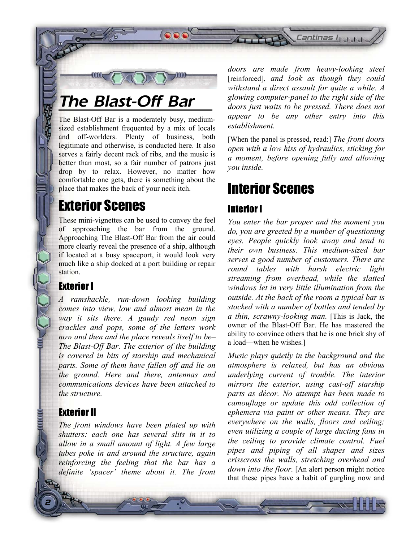



The Blast-Off Bar is a moderately busy, mediumsized establishment frequented by a mix of locals and off-worlders. Plenty of business, both legitimate and otherwise, is conducted here. It also serves a fairly decent rack of ribs, and the music is better than most, so a fair number of patrons just drop by to relax. However, no matter how comfortable one gets, there is something about the place that makes the back of your neck itch.

## Exterior Scenes

These mini-vignettes can be used to convey the feel of approaching the bar from the ground. Approaching The Blast-Off Bar from the air could more clearly reveal the presence of a ship, although if located at a busy spaceport, it would look very much like a ship docked at a port building or repair station.

#### Exterior I

三面

*A ramshackle, run-down looking building comes into view, low and almost mean in the way it sits there. A gaudy red neon sign crackles and pops, some of the letters work now and then and the place reveals itself to be– The Blast-Off Bar. The exterior of the building is covered in bits of starship and mechanical parts. Some of them have fallen off and lie on the ground. Here and there, antennas and communications devices have been attached to the structure.* 

## Exterior II

*The front windows have been plated up with shutters: each one has several slits in it to allow in a small amount of light. A few large tubes poke in and around the structure, again reinforcing the feeling that the bar has a definite 'spacer' theme about it. The front*  *doors are made from heavy-looking steel* [reinforced], *and look as though they could withstand a direct assault for quite a while. A glowing computer-panel to the right side of the doors just waits to be pressed. There does not appear to be any other entry into this establishment.*

[When the panel is pressed, read:] *The front doors open with a low hiss of hydraulics, sticking for a moment, before opening fully and allowing you inside.* 

## Interior Scenes

## Interior I

*You enter the bar proper and the moment you do, you are greeted by a number of questioning eyes. People quickly look away and tend to their own business. This medium-sized bar serves a good number of customers. There are round tables with harsh electric light streaming from overhead, while the slatted windows let in very little illumination from the outside. At the back of the room a typical bar is stocked with a number of bottles and tended by a thin, scrawny-looking man.* [This is Jack, the owner of the Blast-Off Bar. He has mastered the ability to convince others that he is one brick shy of a load—when he wishes.]

*Music plays quietly in the background and the atmosphere is relaxed, but has an obvious underlying current of trouble. The interior mirrors the exterior, using cast-off starship parts as décor. No attempt has been made to camouflage or update this odd collection of ephemera via paint or other means. They are everywhere on the walls, floors and ceiling; even utilizing a couple of large ducting fans in the ceiling to provide climate control. Fuel pipes and piping of all shapes and sizes crisscross the walls, stretching overhead and down into the floor.* [An alert person might notice that these pipes have a habit of gurgling now and